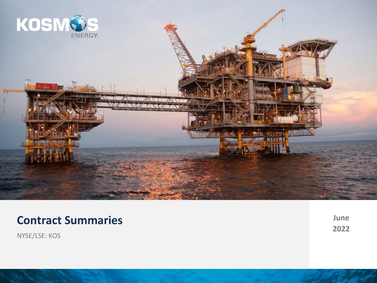

# **Contract Summaries**

**June 2022**

0

NYSE/LSE: KOS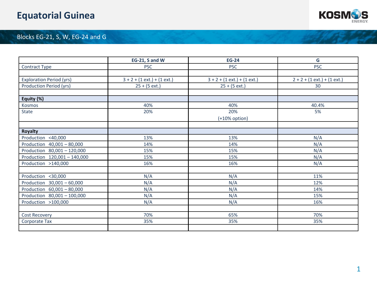# **Equatorial Guinea**



## Blocks EG-21, S, W, EG-24 and G

|                                 | EG-21, S and W                | <b>EG-24</b>                  | G                             |
|---------------------------------|-------------------------------|-------------------------------|-------------------------------|
| Contract Type                   | <b>PSC</b>                    | <b>PSC</b>                    | <b>PSC</b>                    |
|                                 |                               |                               |                               |
| <b>Exploration Period (yrs)</b> | $3 + 2 + (1 ext.) + (1 ext.)$ | $3 + 2 + (1 ext.) + (1 ext.)$ | $2 + 2 + (1 ext.) + (1 ext.)$ |
| Production Period (yrs)         | $25 + (5 ext.)$               | $25 + (5 ext.)$               | 30                            |
|                                 |                               |                               |                               |
| Equity (%)                      |                               |                               |                               |
| Kosmos                          | 40%                           | 40%                           | 40.4%                         |
| <b>State</b>                    | 20%                           | 20%                           | 5%                            |
|                                 |                               | $(+10\%$ option)              |                               |
|                                 |                               |                               |                               |
| <b>Royalty</b>                  |                               |                               |                               |
| Production <40,000              | 13%                           | 13%                           | N/A                           |
| Production 40,001 - 80,000      | 14%                           | 14%                           | N/A                           |
| Production 80,001 - 120,000     | 15%                           | 15%                           | N/A                           |
| Production 120,001 - 140,000    | 15%                           | 15%                           | N/A                           |
| Production >140,000             | 16%                           | 16%                           | N/A                           |
|                                 |                               |                               |                               |
| Production <30,000              | N/A                           | N/A                           | 11%                           |
| Production 30,001 - 60,000      | N/A                           | N/A                           | 12%                           |
| Production 60,001 - 80,000      | N/A                           | N/A                           | 14%                           |
| Production 80,001 - 100,000     | N/A                           | N/A                           | 15%                           |
| Production >100,000             | N/A                           | N/A                           | 16%                           |
|                                 |                               |                               |                               |
| Cost Recovery                   | 70%                           | 65%                           | 70%                           |
| Corporate Tax                   | 35%                           | 35%                           | 35%                           |
|                                 |                               |                               |                               |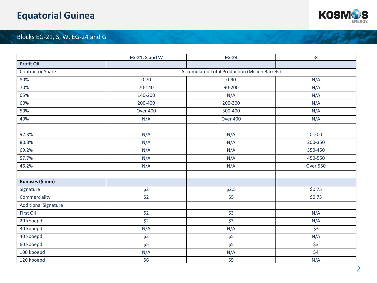# **Equatorial Guinea**



## Blocks EG-21, S, W, EG-24 and G

|                             | EG-21, S and W             | <b>EG-24</b>                                          | G                |
|-----------------------------|----------------------------|-------------------------------------------------------|------------------|
| <b>Profit Oil</b>           |                            |                                                       |                  |
| <b>Contractor Share</b>     |                            | <b>Accumulated Total Production (Million Barrels)</b> |                  |
| 80%                         | $0 - 70$                   | $0 - 90$                                              | N/A              |
| 70%                         | 70-140                     | 90-200                                                | N/A              |
| 65%                         | 140-200                    | N/A                                                   | N/A              |
| 60%                         | 200-400                    | 200-300                                               | N/A              |
| 50%                         | <b>Over 400</b>            | 300-400                                               | N/A              |
| 40%                         | N/A                        | <b>Over 400</b>                                       | N/A              |
|                             |                            |                                                       |                  |
| 92.3%                       | N/A                        | N/A                                                   | $0 - 200$        |
| 80.8%                       | N/A                        | N/A                                                   | 200-350          |
| 69.2%                       | N/A                        | N/A                                                   | 350-450          |
| 57.7%                       | N/A                        | N/A                                                   | 450-550          |
| 46.2%                       | N/A                        | N/A                                                   | <b>Over 550</b>  |
|                             |                            |                                                       |                  |
| Bonuses (\$ mm)             |                            |                                                       |                  |
| Signature                   | \$2                        | \$2.5                                                 | \$0.75           |
| Commerciality               | \$2                        | \$5                                                   | \$0.75           |
| <b>Additional Signature</b> |                            |                                                       |                  |
| First Oil                   | $\overline{\text{S2}}$     | $\overline{\varsigma}$ 3                              | N/A              |
| 20 kboepd                   | $\overline{\text{S2}}$     | $\overline{\xi}$                                      | N/A              |
| 30 kboepd                   | N/A                        | N/A                                                   | $\overline{\xi}$ |
| 40 kboepd                   | $\overline{\overline{53}}$ | $\overline{\frac{1}{5}}$                              | N/A              |
| 60 kboepd                   | $\overline{\overline{5}}$  | $\overline{\overline{5}}$                             | $\overline{\xi}$ |
| 100 kboepd                  | N/A                        | N/A                                                   | \$4              |
| 120 kboepd                  | \$6                        | \$5                                                   | N/A              |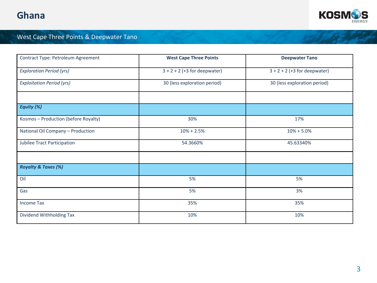

## West Cape Three Points & Deepwater Tano

| Contract Type: Petroleum Agreement   | <b>West Cape Three Points</b>  | <b>Deepwater Tano</b>          |
|--------------------------------------|--------------------------------|--------------------------------|
| <b>Exploration Period (yrs)</b>      | $3 + 2 + 2$ (+3 for deepwater) | $3 + 2 + 2$ (+3 for deepwater) |
| <b>Exploitation Period (yrs)</b>     | 30 (less exploration period)   | 30 (less exploration period)   |
|                                      |                                |                                |
| Equity (%)                           |                                |                                |
| Kosmos - Production (before Royalty) | 30%                            | 17%                            |
| National Oil Company - Production    | $10% + 2.5%$                   | $10% + 5.0%$                   |
| <b>Jubilee Tract Participation</b>   | 54.3660%                       | 45.63340%                      |
|                                      |                                |                                |
| <b>Royalty &amp; Taxes (%)</b>       |                                |                                |
| Oil                                  | 5%                             | 5%                             |
| Gas                                  | 5%                             | 3%                             |
| <b>Income Tax</b>                    | 35%                            | 35%                            |
| Dividend Withholding Tax             | 10%                            | 10%                            |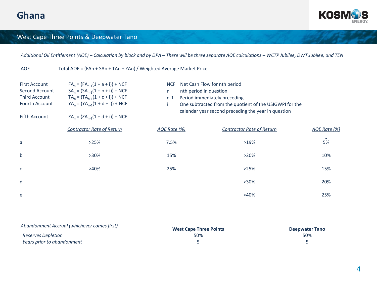

#### West Cape Three Points & Deepwater Tano

*Additional Oil Entitlement (AOE) – Calculation by block and by DPA – There will be three separate AOE calculations – WCTP Jubilee, DWT Jubilee, and TEN*

AOE Total AOE = (FAn + SAn + TAn + ZAn) / Weighted Average Market Price

| <b>First Account</b><br>Second Account<br><b>Third Account</b><br>Fourth Account<br><b>Fifth Account</b> | $FA_n = (FA_{n-1}(1 + a + i)) + NCF$<br>$SA_n = (SA_{n-1}(1 + b + i)) + NCF$<br>$TA_n = (TA_{n-1}(1 + c + i)) + NCF$<br>$YA_n = (YA_{n-1}(1 + d + i)) + NCF$<br>$ZA_n = (ZA_{n-1}(1 + d + i)) + NCF$ | <b>NCF</b><br>nth period in question<br>n.<br>$n-1$ | Net Cash Flow for nth period<br>Period immediately preceding<br>One subtracted from the quotient of the USIGWPI for the<br>calendar year second preceding the year in question |              |
|----------------------------------------------------------------------------------------------------------|------------------------------------------------------------------------------------------------------------------------------------------------------------------------------------------------------|-----------------------------------------------------|--------------------------------------------------------------------------------------------------------------------------------------------------------------------------------|--------------|
|                                                                                                          | <b>Contractor Rate of Return</b>                                                                                                                                                                     | AOE Rate (%)                                        | <b>Contractor Rate of Return</b>                                                                                                                                               | AOE Rate (%) |
| a                                                                                                        | >25%                                                                                                                                                                                                 | 7.5%                                                | >19%                                                                                                                                                                           | 5%           |
| b                                                                                                        | $>30\%$                                                                                                                                                                                              | 15%                                                 | >20%                                                                                                                                                                           | 10%          |
| C                                                                                                        | >40%                                                                                                                                                                                                 | 25%                                                 | >25%                                                                                                                                                                           | 15%          |
| d                                                                                                        |                                                                                                                                                                                                      |                                                     | $>30\%$                                                                                                                                                                        | 20%          |
| e                                                                                                        |                                                                                                                                                                                                      |                                                     | >40%                                                                                                                                                                           | 25%          |

| Abandonment Accrual (whichever comes first) | <b>West Cape Three Points</b> | <b>Deepwater Tano</b> |
|---------------------------------------------|-------------------------------|-----------------------|
| Reserves Depletion                          | 50%                           | 50%                   |
| Years prior to abandonment                  |                               |                       |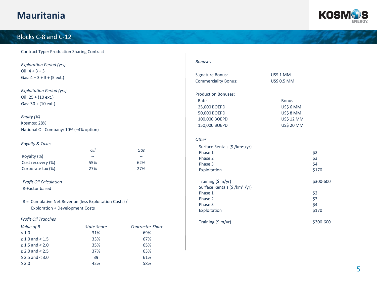## **Mauritania**



## Blocks C-8 and C-12

| <b>Contract Type: Production Sharing Contract</b> |  |  |  |
|---------------------------------------------------|--|--|--|
|---------------------------------------------------|--|--|--|

 $\geq 2.5$  and < 3.0 39 61%  $\geq 3.0$  42% 58%

| <b>Exploration Period (yrs)</b>                        |                             |                             | <b>Bonuses</b>                           |                   |           |
|--------------------------------------------------------|-----------------------------|-----------------------------|------------------------------------------|-------------------|-----------|
| Oil: $4 + 3 + 3$                                       |                             |                             |                                          |                   |           |
| Gas: $4 + 3 + 3 + (5 ext.)$                            |                             |                             | <b>Signature Bonus:</b>                  | US\$ 1 MM         |           |
|                                                        |                             |                             | <b>Commerciality Bonus:</b>              | US\$ 0.5 MM       |           |
| <b>Exploitation Period (yrs)</b>                       |                             |                             |                                          |                   |           |
| Oil: 25 + (10 ext.)                                    |                             |                             | <b>Production Bonuses:</b>               |                   |           |
| $Gas: 30 + (10 ext.)$                                  |                             |                             | Rate                                     | <b>Bonus</b>      |           |
|                                                        |                             |                             | 25,000 BOEPD                             | US\$ 6 MM         |           |
| Equity (%)                                             |                             |                             | 50,000 BOEPD                             | US\$ 8 MM         |           |
| Kosmos: 28%                                            |                             |                             | 100,000 BOEPD                            | <b>US\$ 12 MM</b> |           |
|                                                        |                             |                             | 150,000 BOEPD                            | <b>US\$ 20 MM</b> |           |
| National Oil Company: 10% (+4% option)                 |                             |                             |                                          |                   |           |
|                                                        |                             |                             | Other                                    |                   |           |
| Royalty & Taxes                                        |                             |                             | Surface Rentals (\$/km <sup>2</sup> /yr) |                   |           |
|                                                        | Oil                         | Gas                         | Phase 1                                  |                   | \$2       |
| Royalty (%)                                            | $\mathcal{L}^{\mathcal{L}}$ | $\mathcal{L}_{\mathcal{A}}$ | Phase 2                                  |                   | \$3       |
| Cost recovery (%)                                      | 55%                         | 62%                         | Phase 3                                  |                   | \$4       |
| Corporate tax (%)                                      | 27%                         | 27%                         | Exploitation                             |                   | \$170     |
| <b>Profit Oil Calculation</b>                          |                             |                             | Training (\$ m/yr)                       |                   | \$300-600 |
| R-Factor based                                         |                             |                             | Surface Rentals (\$/km <sup>2</sup> /yr) |                   |           |
|                                                        |                             |                             | Phase 1                                  |                   | \$2       |
| R = Cumulative Net Revenue (less Exploitation Costs) / |                             |                             | Phase 2                                  |                   | \$3       |
| <b>Exploration + Development Costs</b>                 |                             |                             | Phase 3                                  |                   | \$4       |
|                                                        |                             |                             | Exploitation                             |                   | \$170     |
| Profit Oil Tranches                                    |                             |                             | Training (\$ m/yr)                       |                   | \$300-600 |
| Value of R                                             | <b>State Share</b>          | <b>Contractor Share</b>     |                                          |                   |           |
| < 1.0                                                  | 31%                         | 69%                         |                                          |                   |           |
| $\geq 1.0$ and < 1.5                                   | 33%                         | 67%                         |                                          |                   |           |
| $\geq 1.5$ and < 2.0                                   | 35%                         | 65%                         |                                          |                   |           |
| $\geq 2.0$ and < 2.5                                   | 37%                         | 63%                         |                                          |                   |           |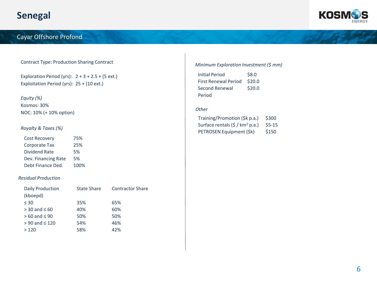

#### Cayar Offshore Profond

#### **Contract Type: Production Sharing Contract Minimum Exploration Investment (\$ mm)**

Exploration Period (yrs):  $2 + 3 + 2.5 + (5 ext.)$ Exploitation Period (yrs): 25 + (10 ext.)

*Equity (%)* Kosmos: 30% NOC: 10% (+ 10% option)

#### *Royalty & Taxes (%)*

| <b>Cost Recovery</b> | 75%  |
|----------------------|------|
| Corporate Tax        | 25%  |
| Dividend Rate        | 5%   |
| Dev. Financing Rate  | 5%   |
| Debt Finance Ded.    | 100% |

#### *Residual Production*

| <b>Daily Production</b> | <b>State Share</b> | <b>Contractor Share</b> |
|-------------------------|--------------------|-------------------------|
| (kboepd)                |                    |                         |
| $\leq 30$               | 35%                | 65%                     |
| $>$ 30 and $\leq$ 60    | 40%                | 60%                     |
| $>60$ and $\leq 90$     | 50%                | 50%                     |
| $> 90$ and $\leq 120$   | 54%                | 46%                     |
| >120                    | 58%                | 42%                     |

| <b>Initial Period</b>       | \$8.0  |
|-----------------------------|--------|
| <b>First Renewal Period</b> | \$20.0 |
| Second Renewal              | \$20.0 |
| Period                      |        |

#### *Other*

| Training/Promotion (\$k p.a.)               | \$300   |
|---------------------------------------------|---------|
| Surface rentals (\$ / km <sup>2</sup> p.a.) | $$5-15$ |
| PETROSEN Equipment (\$k)                    | \$150   |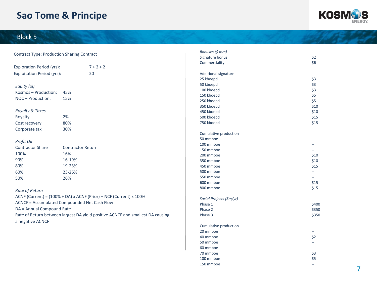# **Sao Tome & Principe**



## Block 5

|                                                   |                                                                                | Bonuses (\$ mm)             |                                               |
|---------------------------------------------------|--------------------------------------------------------------------------------|-----------------------------|-----------------------------------------------|
| <b>Contract Type: Production Sharing Contract</b> |                                                                                | Signature bonus             | \$2                                           |
|                                                   |                                                                                | Commerciality               | \$6                                           |
| <b>Exploration Period (yrs):</b>                  | $7 + 2 + 2$                                                                    |                             |                                               |
| <b>Exploitation Period (yrs):</b>                 | 20                                                                             | <b>Additional signature</b> |                                               |
|                                                   |                                                                                | 25 kboepd                   | \$3                                           |
| Equity (%)                                        |                                                                                | 50 kboepd                   | \$3                                           |
| Kosmos-Production:                                | 45%                                                                            | 100 kboepd                  | \$3                                           |
| NOC - Production:                                 | 15%                                                                            | 150 kboepd                  | \$5                                           |
|                                                   |                                                                                | 250 kboepd                  | \$5                                           |
|                                                   |                                                                                | 350 kboepd                  | \$10                                          |
| Royalty & Taxes                                   |                                                                                | 450 kboepd                  | \$10                                          |
| Royalty                                           | 2%                                                                             | 500 kboepd                  | \$15                                          |
| Cost recovery                                     | 80%                                                                            | 750 kboepd                  | \$15                                          |
| Corporate tax                                     | 30%                                                                            |                             |                                               |
|                                                   |                                                                                | Cumulative production       |                                               |
| Profit Oil                                        |                                                                                | 50 mmboe                    | $\overline{a}$                                |
| <b>Contractor Share</b>                           | <b>Contractor Return</b>                                                       | 100 mmboe                   |                                               |
|                                                   |                                                                                | 150 mmboe                   |                                               |
| 100%                                              | 16%                                                                            | 200 mmboe                   | \$10                                          |
| 90%                                               | 16-19%                                                                         | 350 mmboe                   | \$10                                          |
| 80%                                               | 19-23%                                                                         | 450 mmboe                   | \$15                                          |
| 60%                                               | 23-26%                                                                         | 500 mmboe                   | $-$                                           |
| 50%                                               | 26%                                                                            | 550 mmboe                   | $\overline{\phantom{a}}$                      |
|                                                   |                                                                                | 600 mmboe                   | \$15                                          |
| Rate of Return                                    |                                                                                | 800 mmboe                   | \$15                                          |
|                                                   | ACNF (Current) = (100% + DA) x ACNF (Prior) + NCF (Current) x 100%             |                             |                                               |
|                                                   | ACNCF = Accumulated Compounded Net Cash Flow                                   | Social Projects (\$m/yr)    |                                               |
|                                                   |                                                                                | Phase 1                     | \$400                                         |
| DA = Annual Compound Rate                         |                                                                                | Phase 2                     | \$350                                         |
| a negative ACNCF                                  | Rate of Return between largest DA yield positive ACNCF and smallest DA causing | Phase 3                     | \$350                                         |
|                                                   |                                                                                | Cumulative production       |                                               |
|                                                   |                                                                                | 20 mmboe                    | $\mathord{\hspace{1pt}\text{--}\hspace{1pt}}$ |
|                                                   |                                                                                | 40 mmboe                    | \$2                                           |
|                                                   |                                                                                | 50 mmboe                    | u.                                            |
|                                                   |                                                                                | 60 mmboe                    | $\overline{\phantom{m}}$                      |
|                                                   |                                                                                | 70 mmboe                    | \$3                                           |
|                                                   |                                                                                | 100 mmboe                   | \$5                                           |
|                                                   |                                                                                | 150 mmboe                   | $\sim$ $\sim$                                 |